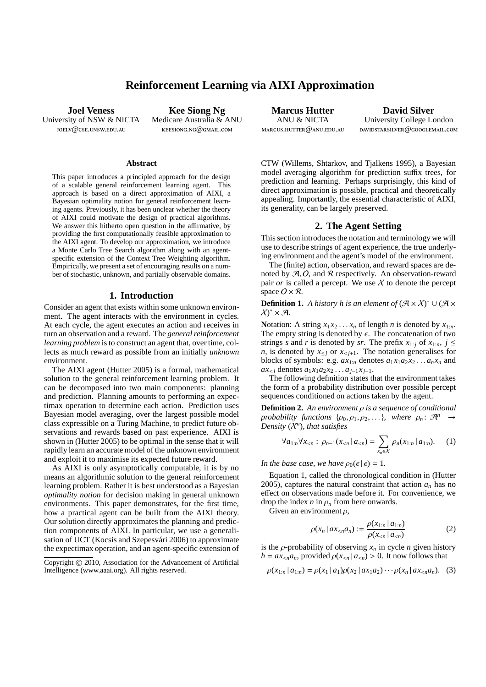# **Reinforcement Learning via AIXI Approximation**

**Joel Veness** University of NSW & NICTA joelv@cse.unsw.edu.au

**Kee Siong Ng** Medicare Australia & ANU keesiong.ng@gmail.com

#### **Abstract**

This paper introduces a principled approach for the design of a scalable general reinforcement learning agent. This approach is based on a direct approximation of AIXI, a Bayesian optimality notion for general reinforcement learning agents. Previously, it has been unclear whether the theory of AIXI could motivate the design of practical algorithms. We answer this hitherto open question in the affirmative, by providing the first computationally feasible approximation to the AIXI agent. To develop our approximation, we introduce a Monte Carlo Tree Search algorithm along with an agentspecific extension of the Context Tree Weighting algorithm. Empirically, we present a set of encouraging results on a number of stochastic, unknown, and partially observable domains.

#### **1. Introduction**

Consider an agent that exists within some unknown environment. The agent interacts with the environment in cycles. At each cycle, the agent executes an action and receives in turn an observation and a reward. The *general reinforcement learning problem* is to construct an agent that, over time, collects as much reward as possible from an initially *unknown* environment.

The AIXI agent (Hutter 2005) is a formal, mathematical solution to the general reinforcement learning problem. It can be decomposed into two main components: planning and prediction. Planning amounts to performing an expectimax operation to determine each action. Prediction uses Bayesian model averaging, over the largest possible model class expressible on a Turing Machine, to predict future observations and rewards based on past experience. AIXI is shown in (Hutter 2005) to be optimal in the sense that it will rapidly learn an accurate model of the unknown environment and exploit it to maximise its expected future reward.

As AIXI is only asymptotically computable, it is by no means an algorithmic solution to the general reinforcement learning problem. Rather it is best understood as a Bayesian *optimality notion* for decision making in general unknown environments. This paper demonstrates, for the first time, how a practical agent can be built from the AIXI theory. Our solution directly approximates the planning and prediction components of AIXI. In particular, we use a generalisation of UCT (Kocsis and Szepesvári 2006) to approximate the expectimax operation, and an agent-specific extension of

**Marcus Hutter** ANU & NICTA  $MARTIIS$  HUTTER  $@$  anii Edu. Au.

**David Silver** University College London davidstarsilver@googlemail.com

CTW (Willems, Shtarkov, and Tjalkens 1995), a Bayesian model averaging algorithm for prediction suffix trees, for prediction and learning. Perhaps surprisingly, this kind of direct approximation is possible, practical and theoretically appealing. Importantly, the essential characteristic of AIXI, its generality, can be largely preserved.

#### **2. The Agent Setting**

This section introduces the notation and terminology we will use to describe strings of agent experience, the true underlying environment and the agent's model of the environment.

The (finite) action, observation, and reward spaces are denoted by  $A, O$ , and  $R$  respectively. An observation-reward pair *or* is called a percept. We use  $X$  to denote the percept space  $O \times R$ .

**Definition 1.** *A history h is an element of*  $(\mathcal{A} \times \mathcal{X})^* \cup (\mathcal{A} \times \mathcal{A})^*$  $\chi$ <sup>\*</sup>  $\times$  A.

Notation: A string  $x_1 x_2 \ldots x_n$  of length *n* is denoted by  $x_{1:n}$ . The empty string is denoted by  $\epsilon$ . The concatenation of two strings *s* and *r* is denoted by *sr*. The prefix  $x_{1:j}$  of  $x_{1:n}$ ,  $j \leq$ *n*, is denoted by  $x_{\leq j}$  or  $x_{\leq j+1}$ . The notation generalises for blocks of symbols: e.g.  $ax_{1:n}$  denotes  $a_1x_1a_2x_2...a_nx_n$  and  $ax_{\leq j}$  denotes  $a_1x_1a_2x_2...a_{j-1}x_{j-1}$ .

The following definition states that the environment takes the form of a probability distribution over possible percept sequences conditioned on actions taken by the agent.

**Definition 2.** *An environment* ρ *is a sequence of conditional probability functions* { $\rho_0, \rho_1, \rho_2, \ldots$ }*, where*  $\rho_n$ :  $\mathcal{A}^n \to$ *Density* (X*<sup>n</sup>* )*, that satisfies*

$$
\forall a_{1:n} \forall x_{< n} : \rho_{n-1}(x_{< n} \,|\, a_{< n}) = \sum_{x_n \in X} \rho_n(x_{1:n} \,|\, a_{1:n}). \tag{1}
$$

*In the base case, we have*  $\rho_0(\epsilon|\epsilon) = 1$ *.* 

Equation 1, called the chronological condition in (Hutter 2005), captures the natural constraint that action  $a_n$  has no effect on observations made before it. For convenience, we drop the index  $n \text{ in } \rho_n$  from here onwards.

Given an environment  $\rho$ ,

$$
\rho(x_n \,|\, ax_{
$$

is the  $\rho$ -probability of observing  $x_n$  in cycle *n* given history  $h = ax_{\le n}a_n$ , provided  $\rho(x_{\le n} | a_{\le n}) > 0$ . It now follows that

$$
\rho(x_{1:n} | a_{1:n}) = \rho(x_1 | a_1) \rho(x_2 | a x_1 a_2) \cdots \rho(x_n | a x_{ (3)
$$

Copyright © 2010, Association for the Advancement of Artificial Intelligence (www.aaai.org). All rights reserved.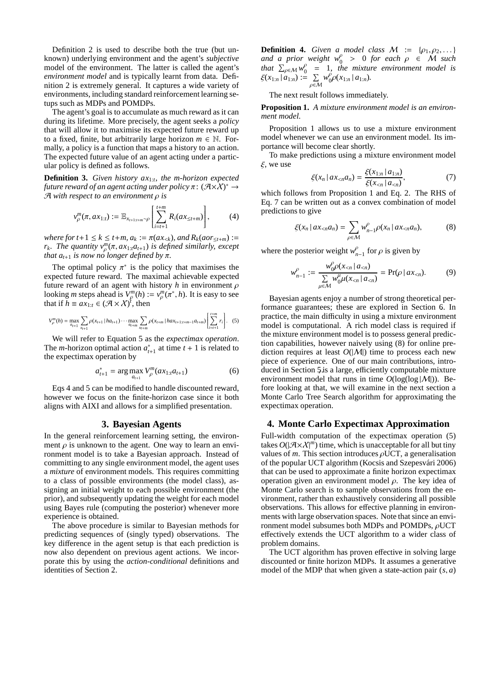Definition 2 is used to describe both the true (but unknown) underlying environment and the agent's *subjective* model of the environment. The latter is called the agent's *environment model* and is typically learnt from data. Definition 2 is extremely general. It captures a wide variety of environments, including standard reinforcement learning setups such as MDPs and POMDPs.

The agent's goal is to accumulate as much reward as it can during its lifetime. More precisely, the agent seeks a *policy* that will allow it to maximise its expected future reward up to a fixed, finite, but arbitrarily large horizon  $m \in \mathbb{N}$ . Formally, a policy is a function that maps a history to an action. The expected future value of an agent acting under a particular policy is defined as follows.

**Definition 3.** *Given history ax*1:*<sup>t</sup> , the m-horizon expected* future reward of an agent acting under policy  $\pi\colon (\mathcal{A}{\times}\mathcal{X})^*\rightarrow$ A *with respect to an environment* ρ *is*

$$
v_{\rho}^{m}(\pi, ax_{1:t}) := \mathbb{E}_{x_{t+1:t+m} \sim \rho} \left[ \sum_{i=t+1}^{t+m} R_{i}(ax_{\leq t+m}) \right], \qquad (4)
$$

*where for t*+1  $\leq$  *k*  $\leq$  *t*+*m*,  $a_k := \pi(ax_{< k})$ , and  $R_k(aor_{< t+m}) :=$ *r*<sub>*k*</sub>*. The quantity*  $v_p^m(\pi, ax_{1:t}a_{t+1})$  *is defined similarly, except that*  $a_{t+1}$  *is now no longer defined by*  $\pi$ *.* 

The optimal policy  $\pi^*$  is the policy that maximises the expected future reward. The maximal achievable expected future reward of an agent with history  $h$  in environment  $\rho$ looking *m* steps ahead is  $V_{\rho}^{m}(h) := v_{\rho}^{m}(\pi^*, h)$ . It is easy to see that if  $h \equiv ax_{1:t} \in (\mathcal{A} \times \mathcal{X})^t$ , then

$$
V_{\rho}^{m}(h) = \max_{a_{t+1}} \sum_{x_{t+1}} \rho(x_{t+1} | ha_{t+1}) \cdots \max_{a_{t+m}} \sum_{x_{t+m}} \rho(x_{t+m} | ha x_{t+1:t+m-1} a_{t+m}) \left[ \sum_{i=t+1}^{t+m} r_i \right].
$$
 (5)

We will refer to Equation 5 as the *expectimax operation*. The *m*-horizon optimal action  $a_{t+1}^*$  at time  $t + 1$  is related to the expectimax operation by

$$
a_{t+1}^* = \arg\max_{a_{t+1}} V_{\rho}^m(ax_{1:t}a_{t+1})
$$
 (6)

Eqs 4 and 5 can be modified to handle discounted reward, however we focus on the finite-horizon case since it both aligns with AIXI and allows for a simplified presentation.

#### **3. Bayesian Agents**

In the general reinforcement learning setting, the environment  $\rho$  is unknown to the agent. One way to learn an environment model is to take a Bayesian approach. Instead of committing to any single environment model, the agent uses a *mixture* of environment models. This requires committing to a class of possible environments (the model class), assigning an initial weight to each possible environment (the prior), and subsequently updating the weight for each model using Bayes rule (computing the posterior) whenever more experience is obtained.

The above procedure is similar to Bayesian methods for predicting sequences of (singly typed) observations. The key difference in the agent setup is that each prediction is now also dependent on previous agent actions. We incorporate this by using the *action-conditional* definitions and identities of Section 2..

**Definition 4.** *Given a model class*  $M := \{\rho_1, \rho_2, \dots\}$ and a prior weight  $w_0^{\rho} > 0$  for each  $\rho \in M$  such that  $\sum_{\rho \in \mathcal{M}}^n w_0^{\rho}$  $\theta_0^{\rho}$  = 1, the mixture environment model is  $\xi(x_{1:n} | a_{1:n}) := \sum_{\rho \in \mathcal{M}} w_0^{\rho}$  $_{0}^{\rho}\rho(x_{1:n} | a_{1:n}).$ 

The next result follows immediately.

**Proposition 1.** *A mixture environment model is an environment model.*

Proposition 1 allows us to use a mixture environment model whenever we can use an environment model. Its importance will become clear shortly.

To make predictions using a mixture environment model  $\xi$ , we use

$$
\xi(x_n \,|\, ax_{\le n} a_n) = \frac{\xi(x_{1:n} \,|\, a_{1:n})}{\xi(x_{\le n} \,|\, a_{\le n})},\tag{7}
$$

which follows from Proposition 1 and Eq. 2. The RHS of Eq. 7 can be written out as a convex combination of model predictions to give

$$
\xi(x_n \mid ax_{
$$

where the posterior weight  $w_{n-1}^{\rho}$  for  $\rho$  is given by

$$
w_{n-1}^{\rho} := \frac{w_0^{\rho} \rho(x_{<} | a_{< n})}{\sum\limits_{\mu \in \mathcal{M}} w_0^{\mu} \mu(x_{< n} | a_{< n})} = \Pr(\rho | ax_{< n}). \tag{9}
$$

Bayesian agents enjoy a number of strong theoretical performance guarantees; these are explored in Section 6.. In practice, the main difficulty in using a mixture environment model is computational. A rich model class is required if the mixture environment model is to possess general prediction capabilities, however naively using (8) for online prediction requires at least  $O(|M|)$  time to process each new piece of experience. One of our main contributions, introduced in Section 5. is a large, efficiently computable mixture environment model that runs in time  $O(\log(\log|M|))$ . Before looking at that, we will examine in the next section a Monte Carlo Tree Search algorithm for approximating the expectimax operation.

#### **4. Monte Carlo Expectimax Approximation**

Full-width computation of the expectimax operation (5) takes  $O(|\mathcal{A} \times \mathcal{X}|^m)$  time, which is unacceptable for all but tiny values of  $m$ . This section introduces  $\rho$ UCT, a generalisation of the popular UCT algorithm (Kocsis and Szepesvári 2006) that can be used to approximate a finite horizon expectimax operation given an environment model  $\rho$ . The key idea of Monte Carlo search is to sample observations from the environment, rather than exhaustively considering all possible observations. This allows for effective planning in environments with large observation spaces. Note that since an environment model subsumes both MDPs and POMDPs,  $\rho$ UCT effectively extends the UCT algorithm to a wider class of problem domains.

The UCT algorithm has proven effective in solving large discounted or finite horizon MDPs. It assumes a generative model of the MDP that when given a state-action pair (*s*, *a*)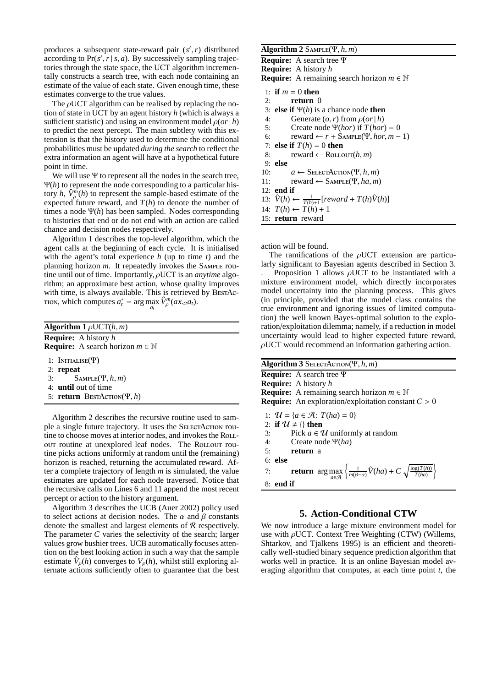produces a subsequent state-reward pair (*s* ′ ,*r*) distributed according to  $Pr(s', r | s, a)$ . By successively sampling trajectories through the state space, the UCT algorithm incrementally constructs a search tree, with each node containing an estimate of the value of each state. Given enough time, these estimates converge to the true values.

The  $\rho$ UCT algorithm can be realised by replacing the notion of state in UCT by an agent history *h* (which is always a sufficient statistic) and using an environment model  $\rho$ (*or* | *h*) to predict the next percept. The main subtlety with this extension is that the history used to determine the conditional probabilities must be updated *during the search* to reflect the extra information an agent will have at a hypothetical future point in time.

We will use  $\Psi$  to represent all the nodes in the search tree, Ψ(*h*) to represent the node corresponding to a particular history *h*,  $\hat{V}_\rho^m(h)$  to represent the sample-based estimate of the expected future reward, and  $T(h)$  to denote the number of times a node Ψ(*h*) has been sampled. Nodes corresponding to histories that end or do not end with an action are called chance and decision nodes respectively.

Algorithm 1 describes the top-level algorithm, which the agent calls at the beginning of each cycle. It is initialised with the agent's total experience *h* (up to time *t*) and the planning horizon *m*. It repeatedly invokes the SAMPLE routine until out of time. Importantly, ρUCT is an *anytime* algorithm; an approximate best action, whose quality improves with time, is always available. This is retrieved by BESTAC-From, which computes  $a_t^* = \arg \max_{a_t} \hat{V}_\rho^m(ax_{\lt t}a_t)$ .

| <b>Algorithm 1</b> $\rho$ UCT $(h, m)$                                             |  |  |  |  |
|------------------------------------------------------------------------------------|--|--|--|--|
| <b>Require:</b> A history h<br><b>Require:</b> A search horizon $m \in \mathbb{N}$ |  |  |  |  |
| 1: INITIALISE $(\Psi)$                                                             |  |  |  |  |
| $2:$ repeat                                                                        |  |  |  |  |
| 3: $SAMPLE(\Psi, h, m)$                                                            |  |  |  |  |
| 4: <b>until</b> out of time                                                        |  |  |  |  |
| 5: <b>return</b> BESTACTION( $\Psi$ , h)                                           |  |  |  |  |

Algorithm 2 describes the recursive routine used to sample a single future trajectory. It uses the SELECTACTION routine to choose moves at interior nodes, and invokes the RoLLout routine at unexplored leaf nodes. The Rollout routine picks actions uniformly at random until the (remaining) horizon is reached, returning the accumulated reward. After a complete trajectory of length *m* is simulated, the value estimates are updated for each node traversed. Notice that the recursive calls on Lines 6 and 11 append the most recent percept or action to the history argument.

Algorithm 3 describes the UCB (Auer 2002) policy used to select actions at decision nodes. The  $\alpha$  and  $\beta$  constants denote the smallest and largest elements of  $R$  respectively. The parameter *C* varies the selectivity of the search; larger values grow bushier trees. UCB automatically focuses attention on the best looking action in such a way that the sample estimate  $\hat{V}_p(h)$  converges to  $V_p(h)$ , whilst still exploring alternate actions sufficiently often to guarantee that the best

### **Algorithm 2** Sample(Ψ, *h*, *m*)

**Require:** A search tree Ψ **Require:** A history *h* **Require:** A remaining search horizon  $m \in \mathbb{N}$ 1: **if**  $m = 0$  **then** 2: **return** 0 3: **else if** Ψ(*h*) is a chance node **then** 4: Generate  $(o, r)$  from  $\rho (or|h)$ 5: Create node  $Ψ(hor)$  if  $T(hor) = 0$ 6: reward  $\leftarrow r + \text{Sample}(\Psi, \text{hor}, m - 1)$ 7: **else if**  $T(h) = 0$  **then** 8: reward  $\leftarrow$  ROLLOUT $(h, m)$ 9: **else** 10:  $a \leftarrow$  SELECTACTION( $\Psi$ , *h*, *m*) 11: reward  $\leftarrow$  SAMPLE( $\Psi$ , *ha*, *m*) 12: **end if** 13:  $\hat{V}(h) \leftarrow \frac{1}{T(h)+1} [reward + T(h)\hat{V}(h)]$ 14:  $T(h)$  ←  $T(h) + 1$ 15: **return** reward

action will be found.

8: **end if**

The ramifications of the  $\rho$ UCT extension are particularly significant to Bayesian agents described in Section 3.

Proposition 1 allows  $\rho$ UCT to be instantiated with a mixture environment model, which directly incorporates model uncertainty into the planning process. This gives (in principle, provided that the model class contains the true environment and ignoring issues of limited computation) the well known Bayes-optimal solution to the exploration/exploitation dilemma; namely, if a reduction in model uncertainty would lead to higher expected future reward,  $\rho$ UCT would recommend an information gathering action.

| <b>Algorithm 3</b> SELECTACTION( $\Psi$ , h, m)                                                                      |  |  |  |  |
|----------------------------------------------------------------------------------------------------------------------|--|--|--|--|
| Require: A search tree $\Psi$                                                                                        |  |  |  |  |
| <b>Require:</b> A history h                                                                                          |  |  |  |  |
| <b>Require:</b> A remaining search horizon $m \in \mathbb{N}$                                                        |  |  |  |  |
| <b>Require:</b> An exploration/exploitation constant $C > 0$                                                         |  |  |  |  |
| 1: $U = \{a \in \mathcal{A} : T(ha) = 0\}$<br>2: if $\mathcal{U} \neq \{\}\$ then                                    |  |  |  |  |
| Pick $a \in \mathcal{U}$ uniformly at random<br>3:                                                                   |  |  |  |  |
| Create node $\Psi(ha)$<br>4:                                                                                         |  |  |  |  |
| <b>return</b> a<br>5:                                                                                                |  |  |  |  |
| $6:$ else                                                                                                            |  |  |  |  |
| <b>return</b> arg max $\left\{\frac{1}{m(\beta-\alpha)}\hat{V}(ha) + C\sqrt{\frac{\log(T(h))}{T(ha)}}\right\}$<br>7: |  |  |  |  |

## **5. Action-Conditional CTW**

We now introduce a large mixture environment model for use with  $\rho$ UCT. Context Tree Weighting (CTW) (Willems, Shtarkov, and Tjalkens 1995) is an efficient and theoretically well-studied binary sequence prediction algorithm that works well in practice. It is an online Bayesian model averaging algorithm that computes, at each time point *t*, the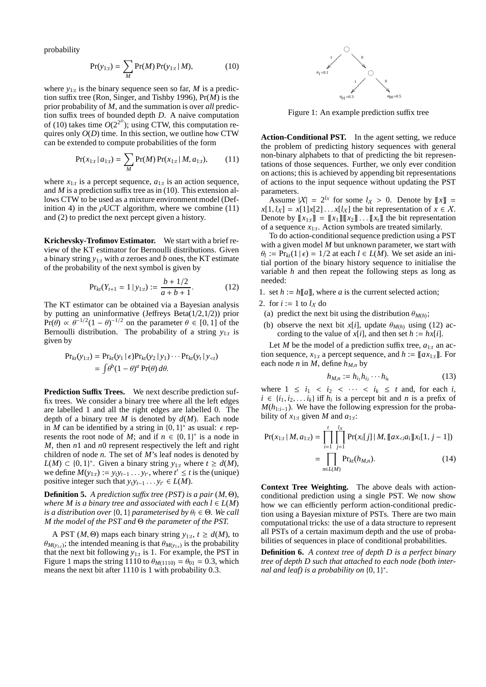probability

$$
Pr(y_{1:t}) = \sum_{M} Pr(M) Pr(y_{1:t} | M),
$$
 (10)

where  $y_{1:t}$  is the binary sequence seen so far, M is a prediction suffix tree (Ron, Singer, and Tishby 1996), Pr(*M*) is the prior probability of *M*, and the summation is over *all* prediction suffix trees of bounded depth *D*. A naive computation of (10) takes time  $O(2^{2^D})$ ; using CTW, this computation requires only  $O(D)$  time. In this section, we outline how CTW can be extended to compute probabilities of the form

$$
Pr(x_{1:t} | a_{1:t}) = \sum_{M} Pr(M) Pr(x_{1:t} | M, a_{1:t}),
$$
 (11)

where  $x_{1:t}$  is a percept sequence,  $a_{1:t}$  is an action sequence, and *M* is a prediction suffix tree as in (10). This extension allows CTW to be used as a mixture environment model (Definition 4) in the  $\rho$ UCT algorithm, where we combine (11) and (2) to predict the next percept given a history.

**Krichevsky-Trofimov Estimator.** We start with a brief review of the KT estimator for Bernoulli distributions. Given a binary string *y*1:*<sup>t</sup>* with *a* zeroes and *b* ones, the KT estimate of the probability of the next symbol is given by

$$
\Pr_{kt}(Y_{t+1} = 1 \mid y_{1:t}) := \frac{b + 1/2}{a + b + 1}.
$$
 (12)

The KT estimator can be obtained via a Bayesian analysis by putting an uninformative (Jeffreys Beta(1/2,1/2)) prior  $Pr(\theta) \propto \theta^{-1/2} (1 - \theta)^{-1/2}$  on the parameter  $\theta \in [0, 1]$  of the Bernoulli distribution. The probability of a string *y*1:*<sup>t</sup>* is given by

$$
\begin{aligned} \Pr_{kt}(y_{1:t}) &= \Pr_{kt}(y_1 \mid \epsilon) \Pr_{kt}(y_2 \mid y_1) \cdots \Pr_{kt}(y_t \mid y_{< t}) \\ &= \int \theta^b (1 - \theta)^a \Pr(\theta) \, d\theta. \end{aligned}
$$

**Prediction Suffix Trees.** We next describe prediction suffix trees. We consider a binary tree where all the left edges are labelled 1 and all the right edges are labelled 0. The depth of a binary tree *M* is denoted by *d*(*M*). Each node in *M* can be identified by a string in  $\{0, 1\}^*$  as usual:  $\epsilon$  represents the root node of *M*; and if  $n \in \{0, 1\}^*$  is a node in *M*, then *n*1 and *n*0 represent respectively the left and right children of node *n*. The set of *M*'s leaf nodes is denoted by *L*(*M*) ⊂ {0, 1}<sup>\*</sup>. Given a binary string  $y_{1:t}$  where  $t ≥ d(M)$ , we define  $M(y_{1:t}) := y_t y_{t-1} \dots y_{t}$ , where  $t' \leq t$  is the (unique) positive integer such that  $y_t y_{t-1} \ldots y_{t'} \in L(M)$ .

**Definition 5.** *A prediction suffix tree (PST) is a pair*  $(M, \Theta)$ *, where M* is a binary tree and associated with each  $l \in L(M)$ *is a distribution over*  $\{0, 1\}$  *parameterised by*  $\theta_l \in \Theta$ *. We call M the model of the PST and* Θ *the parameter of the PST.*

A PST (*M*,  $\Theta$ ) maps each binary string  $y_{1:t}$ ,  $t \ge d(M)$ , to  $\theta_{M(y_{1:t})}$ ; the intended meaning is that  $\theta_{M(y_{1:t})}$  is the probability that the next bit following  $y_{1:t}$  is 1. For example, the PST in Figure 1 maps the string 1110 to  $\theta_{M(1110)} = \theta_{01} = 0.3$ , which means the next bit after 1110 is 1 with probability 0.3.



Figure 1: An example prediction suffix tree

**Action-Conditional PST.** In the agent setting, we reduce the problem of predicting history sequences with general non-binary alphabets to that of predicting the bit representations of those sequences. Further, we only ever condition on actions; this is achieved by appending bit representations of actions to the input sequence without updating the PST parameters.

Assume  $|X| = 2^{l_X}$  for some  $l_X > 0$ . Denote by  $[[x]] =$  $x[1, l_X] = x[1]x[2] \dots x[l_X]$  the bit representation of  $x \in X$ . Denote by  $[[x_{1:t}]] = [[x_1]][[x_2]] \dots [[x_t]]$  the bit representation of a sequence  $x_{1:t}$ . Action symbols are treated similarly.

To do action-conditional sequence prediction using a PST with a given model *M* but unknown parameter, we start with  $\theta_l := \Pr_{kt}(1 \mid \epsilon) = 1/2$  at each  $l \in L(M)$ . We set aside an initial portion of the binary history sequence to initialise the variable *h* and then repeat the following steps as long as needed:

1. set  $h := h[[a]],$  where *a* is the current selected action;

2. for 
$$
i := 1
$$
 to  $l_X$  do

- (a) predict the next bit using the distribution  $\theta_{M(h)}$ ;
- (b) observe the next bit *x*[*i*], update  $\theta_{M(h)}$  using (12) according to the value of  $x[i]$ , and then set  $h := hx[i]$ .

Let *M* be the model of a prediction suffix tree,  $a_{1:t}$  an action sequence,  $x_{1:t}$  a percept sequence, and  $h := [a x_{1:t}]$ . For each node *n* in *M*, define  $h_{M,n}$  by

$$
h_{M,n} := h_{i_1} h_{i_2} \cdots h_{i_k} \tag{13}
$$

where  $1 \le i_1 < i_2 < \cdots < i_k \le t$  and, for each *i*,  $i \in \{i_1, i_2, \ldots i_k\}$  iff  $h_i$  is a percept bit and *n* is a prefix of  $M(h_{1:i-1})$ . We have the following expression for the probability of  $x_{1:t}$  given *M* and  $a_{1:t}$ :

$$
Pr(x_{1:t} | M, a_{1:t}) = \prod_{i=1}^{t} \prod_{j=1}^{l_X} Pr(x_i[j] | M, [\![ax_{
$$
= \prod_{n \in L(M)} Pr_{kt}(h_{M,n}). \tag{14}
$$
$$

**Context Tree Weighting.** The above deals with actionconditional prediction using a single PST. We now show how we can efficiently perform action-conditional prediction using a Bayesian mixture of PSTs. There are two main computational tricks: the use of a data structure to represent all PSTs of a certain maximum depth and the use of probabilities of sequences in place of conditional probabilities.

**Definition 6.** *A context tree of depth D is a perfect binary tree of depth D such that attached to each node (both internal and leaf) is a probability on* {0, 1} ∗ *.*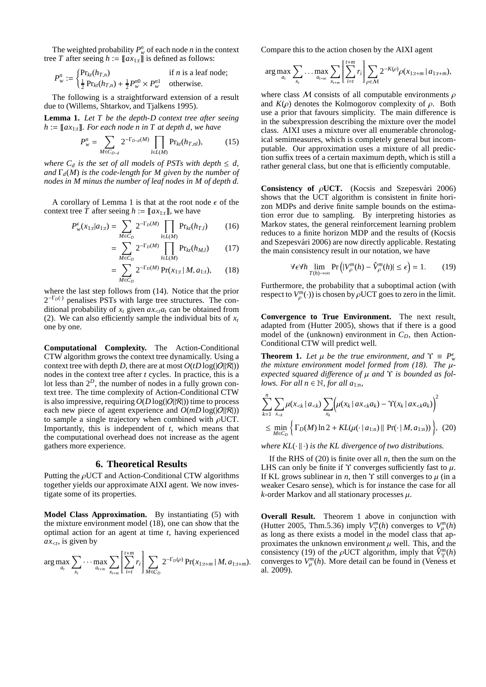The weighted probability  $P_w^n$  of each node *n* in the context tree *T* after seeing  $h := ||ax_{1:t}||$  is defined as follows:

$$
P_w^n := \begin{cases} \Pr_{kt}(h_{T,n}) & \text{if } n \text{ is a leaf node;} \\ \frac{1}{2} \Pr_{kt}(h_{T,n}) + \frac{1}{2} P_w^{n0} \times P_w^{n1} & \text{otherwise.} \end{cases}
$$

The following is a straightforward extension of a result due to (Willems, Shtarkov, and Tjalkens 1995).

**Lemma 1.** *Let T be the depth-D context tree after seeing*  $h := [[ax_{1:t}]]$ . For each node n in T at depth d, we have

$$
P_w^n = \sum_{M \in C_{D-d}} 2^{-\Gamma_{D-d}(M)} \prod_{l \in L(M)} \Pr_{kt}(h_{T,nl}), \tag{15}
$$

*where*  $C_d$  *is the set of all models of PSTs with depth*  $\leq d$ , *and* Γ*d*(*M*) *is the code-length for M given by the number of nodes in M minus the number of leaf nodes in M of depth d.*

A corollary of Lemma 1 is that at the root node  $\epsilon$  of the context tree *T* after seeing  $h := [a x_{1:t}],$  we have

$$
P_{w}^{\epsilon}(x_{1:t}|a_{1:t}) = \sum_{M \in C_{D}} 2^{-\Gamma_{D}(M)} \prod_{l \in L(M)} \Pr_{kt}(h_{T,l}) \tag{16}
$$

$$
= \sum_{M \in C_D} 2^{-\Gamma_D(M)} \prod_{l \in L(M)} \Pr_{kt}(h_{M,l}) \tag{17}
$$

$$
= \sum_{M \in C_D} 2^{-\Gamma_D(M)} \Pr(x_{1:t} | M, a_{1:t}), \qquad (18)
$$

where the last step follows from (14). Notice that the prior 2 <sup>−</sup>Γ*D*(·) penalises PSTs with large tree structures. The conditional probability of  $x_t$  given  $ax_{\leq t}a_t$  can be obtained from (2). We can also efficiently sample the individual bits of  $x_t$ one by one.

**Computational Complexity.** The Action-Conditional CTW algorithm grows the context tree dynamically. Using a context tree with depth *D*, there are at most  $O(tD \log(|O||R|))$ nodes in the context tree after *t* cycles. In practice, this is a lot less than  $2^D$ , the number of nodes in a fully grown context tree. The time complexity of Action-Conditional CTW is also impressive, requiring  $O(D \log(|O||R|))$  time to process each new piece of agent experience and  $O(mD \log(|O||R|))$ to sample a single trajectory when combined with  $\rho$ UCT. Importantly, this is independent of *t*, which means that the computational overhead does not increase as the agent gathers more experience.

#### **6. Theoretical Results**

Putting the  $\rho$ UCT and Action-Conditional CTW algorithms together yields our approximate AIXI agent. We now investigate some of its properties.

**Model Class Approximation.** By instantiating (5) with the mixture environment model (18), one can show that the optimal action for an agent at time *t*, having experienced  $ax_{\leq t}$ , is given by

$$
\arg \max_{a_t} \sum_{x_t} \cdots \max_{a_{t+m}} \sum_{x_{t+m}} \left[ \sum_{i=t}^{t+m} r_i \right] \sum_{M \in C_D} 2^{-\Gamma_D(\rho)} \Pr(x_{1:t+m} | M, a_{1:t+m}).
$$

Compare this to the action chosen by the AIXI agent

$$
\arg \max_{a_t} \sum_{x_t} \ldots \max_{a_{t+m}} \sum_{x_{t+m}} \left[ \sum_{i=t}^{t+m} r_i \right] \sum_{\rho \in \mathcal{M}} 2^{-K(\rho)} \rho(x_{1:t+m} \, | \, a_{1:t+m}),
$$

where class M consists of all computable environments  $\rho$ and  $K(\rho)$  denotes the Kolmogorov complexity of  $\rho$ . Both use a prior that favours simplicity. The main difference is in the subexpression describing the mixture over the model class. AIXI uses a mixture over all enumerable chronological semimeasures, which is completely general but incomputable. Our approximation uses a mixture of all prediction suffix trees of a certain maximum depth, which is still a rather general class, but one that is efficiently computable.

**Consistency of**  $\rho$ **UCT.** (Kocsis and Szepesvári 2006) shows that the UCT algorithm is consistent in finite horizon MDPs and derive finite sample bounds on the estimation error due to sampling. By interpreting histories as Markov states, the general reinforcement learning problem reduces to a finite horizon MDP and the results of (Kocsis and Szepesvári 2006) are now directly applicable. Restating the main consistency result in our notation, we have

$$
\forall \epsilon \forall h \lim_{T(h) \to \infty} \Pr\left( |V_{\rho}^{m}(h) - \hat{V}_{\rho}^{m}(h)| \le \epsilon \right) = 1. \tag{19}
$$

Furthermore, the probability that a suboptimal action (with respect to  $V_p^m(\cdot)$ ) is chosen by  $\rho$ UCT goes to zero in the limit.

**Convergence to True Environment.** The next result, adapted from (Hutter 2005), shows that if there is a good model of the (unknown) environment in  $C<sub>D</sub>$ , then Action-Conditional CTW will predict well.

**Theorem 1.** Let  $\mu$  be the true environment, and  $\Upsilon \equiv P_w^{\epsilon}$ *the mixture environment model formed from (18). The* µ*expected squared di*ff*erence of* µ *and* Υ *is bounded as follows. For all*  $n \in \mathbb{N}$ *, for all*  $a_{1:n}$ *,* 

$$
\sum_{k=1}^{n} \sum_{x_{< k}} \mu(x_{< k} \mid a_{< k}) \sum_{x_k} \left( \mu(x_k \mid ax_{< k} a_k) - \Upsilon(x_k \mid ax_{< k} a_k) \right)^2
$$
\n
$$
\leq \min_{M \in C_D} \left\{ \Gamma_D(M) \ln 2 + KL(\mu(\cdot \mid a_{1:n}) \parallel \Pr(\cdot \mid M, a_{1:n})) \right\}, \tag{20}
$$

*where*  $KL(\cdot \| \cdot)$  *is the KL divergence of two distributions.* 

If the RHS of (20) is finite over all *n*, then the sum on the LHS can only be finite if  $\Upsilon$  converges sufficiently fast to  $\mu$ . If KL grows sublinear in *n*, then  $\Upsilon$  still converges to  $\mu$  (in a weaker Cesaro sense), which is for instance the case for all  $k$ -order Markov and all stationary processes  $\mu$ .

**Overall Result.** Theorem 1 above in conjunction with (Hutter 2005, Thm.5.36) imply  $V^m_{\Upsilon}(h)$  converges to  $V^m_{\mu}(h)$ as long as there exists a model in the model class that approximates the unknown environment  $\mu$  well. This, and the consistency (19) of the  $\rho$ UCT algorithm, imply that  $\hat{V}_{\Upsilon}^{m}(h)$ converges to  $V^m_\mu(h)$ . More detail can be found in (Veness et al. 2009).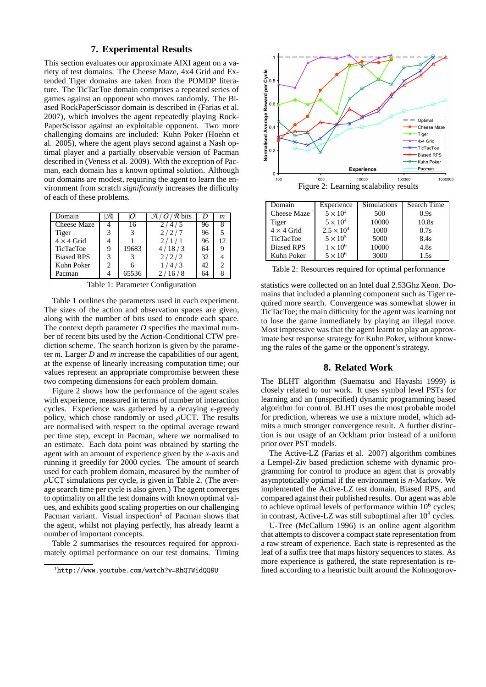# **7. Experimental Results**

This section evaluates our approximate AIXI agent on a variety of test domains. The Cheese Maze, 4x4 Grid and Extended Tiger domains are taken from the POMDP literature. The TicTacToe domain comprises a repeated series of games against an opponent who moves randomly. The Biased RockPaperScissor domain is described in (Farias et al. 2007), which involves the agent repeatedly playing Rock-PaperScissor against an exploitable opponent. Two more challenging domains are included: Kuhn Poker (Hoehn et al. 2005), where the agent plays second against a Nash optimal player and a partially observable version of Pacman described in (Veness et al. 2009). With the exception of Pacman, each domain has a known optimal solution. Although our domains are modest, requiring the agent to learn the environment from scratch *significantly* increases the difficulty of each of these problems.

| Domain             |   | 17 I  | $\mathcal{A}/\mathcal{O}/\mathcal{R}$ bits | D   | $\boldsymbol{m}$ |
|--------------------|---|-------|--------------------------------------------|-----|------------------|
| <b>Cheese Maze</b> |   | 16    | 2/4/5                                      | 96  |                  |
| Tiger              |   |       | 2/2/7                                      | 96  |                  |
| $4 \times 4$ Grid  |   |       | 2/1/1                                      | 96  |                  |
| <b>TicTacToe</b>   | 9 | 19683 | 4/18/3                                     | 64  |                  |
| <b>Biased RPS</b>  | 3 |       | 2/2/2                                      | 32  |                  |
| Kuhn Poker         | 2 |       | 1/4/3                                      | 42. |                  |
| Pacman             |   | 65536 | 2/16/8                                     | 64  |                  |

Table 1: Parameter Configuration

Table 1 outlines the parameters used in each experiment. The sizes of the action and observation spaces are given, along with the number of bits used to encode each space. The context depth parameter *D* specifies the maximal number of recent bits used by the Action-Conditional CTW prediction scheme. The search horizon is given by the parameter *m*. Larger *D* and *m* increase the capabilities of our agent, at the expense of linearly increasing computation time; our values represent an appropriate compromise between these two competing dimensions for each problem domain.

Figure 2 shows how the performance of the agent scales with experience, measured in terms of number of interaction cycles. Experience was gathered by a decaying  $\epsilon$ -greedy policy, which chose randomly or used  $\rho$ UCT. The results are normalised with respect to the optimal average reward per time step, except in Pacman, where we normalised to an estimate. Each data point was obtained by starting the agent with an amount of experience given by the *x*-axis and running it greedily for 2000 cycles. The amount of search used for each problem domain, measured by the number of  $\rho$ UCT simulations per cycle, is given in Table 2. (The average search time per cycle is also given.) The agent converges to optimality on all the test domains with known optimal values, and exhibits good scaling properties on our challenging Pacman variant. Visual inspection<sup>1</sup> of Pacman shows that the agent, whilst not playing perfectly, has already learnt a number of important concepts.

Table 2 summarises the resources required for approximately optimal performance on our test domains. Timing



| Domain             | Experience          | Simulations | Search Time |
|--------------------|---------------------|-------------|-------------|
| <b>Cheese Maze</b> | $5 \times 10^4$     | 500         | 0.9s        |
| Tiger              | $5 \times 10^4$     | 10000       | 10.8s       |
| $4 \times 4$ Grid  | $2.5 \times 10^{4}$ | 1000        | 0.7s        |
| <b>TicTacToe</b>   | $5 \times 10^5$     | 5000        | 8.4s        |
| <b>Biased RPS</b>  | $1 \times 10^6$     | 10000       | 4.8s        |
| Kuhn Poker         | $5 \times 10^6$     | 3000        | 1.5s        |

Table 2: Resources required for optimal performance

statistics were collected on an Intel dual 2.53Ghz Xeon. Domains that included a planning component such as Tiger required more search. Convergence was somewhat slower in TicTacToe; the main difficulty for the agent was learning not to lose the game immediately by playing an illegal move. Most impressive was that the agent learnt to play an approximate best response strategy for Kuhn Poker, without knowing the rules of the game or the opponent's strategy.

### **8. Related Work**

The BLHT algorithm (Suematsu and Hayashi 1999) is closely related to our work. It uses symbol level PSTs for learning and an (unspecified) dynamic programming based algorithm for control. BLHT uses the most probable model for prediction, whereas we use a mixture model, which admits a much stronger convergence result. A further distinction is our usage of an Ockham prior instead of a uniform prior over PST models.

The Active-LZ (Farias et al. 2007) algorithm combines a Lempel-Ziv based prediction scheme with dynamic programming for control to produce an agent that is provably asymptotically optimal if the environment is *n*-Markov. We implemented the Active-LZ test domain, Biased RPS, and compared against their published results. Our agent was able to achieve optimal levels of performance within 10<sup>6</sup> cycles; in contrast, Active-LZ was still suboptimal after 10<sup>8</sup> cycles.

U-Tree (McCallum 1996) is an online agent algorithm that attempts to discover a compact state representation from a raw stream of experience. Each state is represented as the leaf of a suffix tree that maps history sequences to states. As more experience is gathered, the state representation is refined according to a heuristic built around the Kolmogorov-

<sup>1</sup>http://www.youtube.com/watch?v=RhQTWidQQ8U